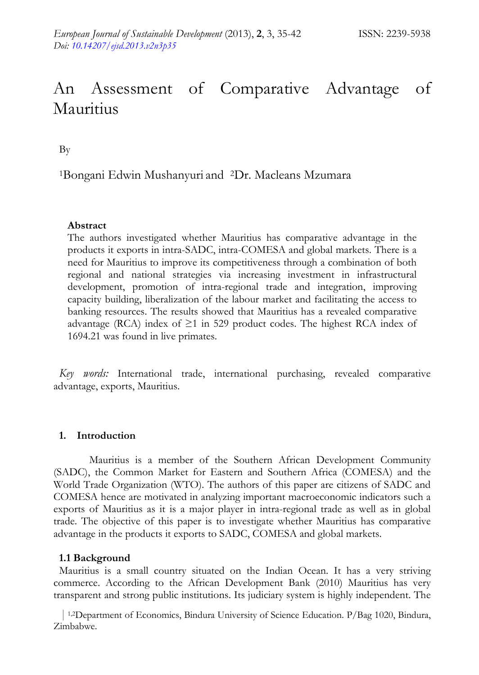# An Assessment of Comparative Advantage of Mauritius

By

1Bongani Edwin Mushanyuri and 2Dr. Macleans Mzumara

## **Abstract**

The authors investigated whether Mauritius has comparative advantage in the products it exports in intra-SADC, intra-COMESA and global markets. There is a need for Mauritius to improve its competitiveness through a combination of both regional and national strategies via increasing investment in infrastructural development, promotion of intra-regional trade and integration, improving capacity building, liberalization of the labour market and facilitating the access to banking resources. The results showed that Mauritius has a revealed comparative advantage (RCA) index of  $\geq$ 1 in 529 product codes. The highest RCA index of 1694.21 was found in live primates.

*Key words:* International trade, international purchasing, revealed comparative advantage, exports, Mauritius.

#### **1. Introduction**

Mauritius is a member of the Southern African Development Community (SADC), the Common Market for Eastern and Southern Africa (COMESA) and the World Trade Organization (WTO). The authors of this paper are citizens of SADC and COMESA hence are motivated in analyzing important macroeconomic indicators such a exports of Mauritius as it is a major player in intra-regional trade as well as in global trade. The objective of this paper is to investigate whether Mauritius has comparative advantage in the products it exports to SADC, COMESA and global markets.

#### **1.1 Background**

Mauritius is a small country situated on the Indian Ocean. It has a very striving commerce. According to the African Development Bank (2010) Mauritius has very transparent and strong public institutions. Its judiciary system is highly independent. The

 | 1,2Department of Economics, Bindura University of Science Education. P/Bag 1020, Bindura, Zimbabwe.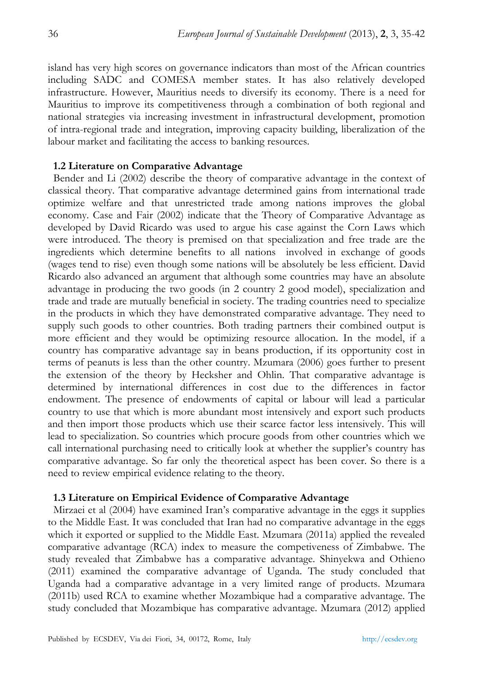island has very high scores on governance indicators than most of the African countries including SADC and COMESA member states. It has also relatively developed infrastructure. However, Mauritius needs to diversify its economy. There is a need for Mauritius to improve its competitiveness through a combination of both regional and national strategies via increasing investment in infrastructural development, promotion of intra-regional trade and integration, improving capacity building, liberalization of the labour market and facilitating the access to banking resources.

### **1.2 Literature on Comparative Advantage**

Bender and Li (2002) describe the theory of comparative advantage in the context of classical theory. That comparative advantage determined gains from international trade optimize welfare and that unrestricted trade among nations improves the global economy. Case and Fair (2002) indicate that the Theory of Comparative Advantage as developed by David Ricardo was used to argue his case against the Corn Laws which were introduced. The theory is premised on that specialization and free trade are the ingredients which determine benefits to all nations involved in exchange of goods (wages tend to rise) even though some nations will be absolutely be less efficient. David Ricardo also advanced an argument that although some countries may have an absolute advantage in producing the two goods (in 2 country 2 good model), specialization and trade and trade are mutually beneficial in society. The trading countries need to specialize in the products in which they have demonstrated comparative advantage. They need to supply such goods to other countries. Both trading partners their combined output is more efficient and they would be optimizing resource allocation. In the model, if a country has comparative advantage say in beans production, if its opportunity cost in terms of peanuts is less than the other country. Mzumara (2006) goes further to present the extension of the theory by Hecksher and Ohlin. That comparative advantage is determined by international differences in cost due to the differences in factor endowment. The presence of endowments of capital or labour will lead a particular country to use that which is more abundant most intensively and export such products and then import those products which use their scarce factor less intensively. This will lead to specialization. So countries which procure goods from other countries which we call international purchasing need to critically look at whether the supplier's country has comparative advantage. So far only the theoretical aspect has been cover. So there is a need to review empirical evidence relating to the theory.

#### **1.3 Literature on Empirical Evidence of Comparative Advantage**

Mirzaei et al (2004) have examined Iran's comparative advantage in the eggs it supplies to the Middle East. It was concluded that Iran had no comparative advantage in the eggs which it exported or supplied to the Middle East. Mzumara (2011a) applied the revealed comparative advantage (RCA) index to measure the competiveness of Zimbabwe. The study revealed that Zimbabwe has a comparative advantage. Shinyekwa and Othieno (2011) examined the comparative advantage of Uganda. The study concluded that Uganda had a comparative advantage in a very limited range of products. Mzumara (2011b) used RCA to examine whether Mozambique had a comparative advantage. The study concluded that Mozambique has comparative advantage. Mzumara (2012) applied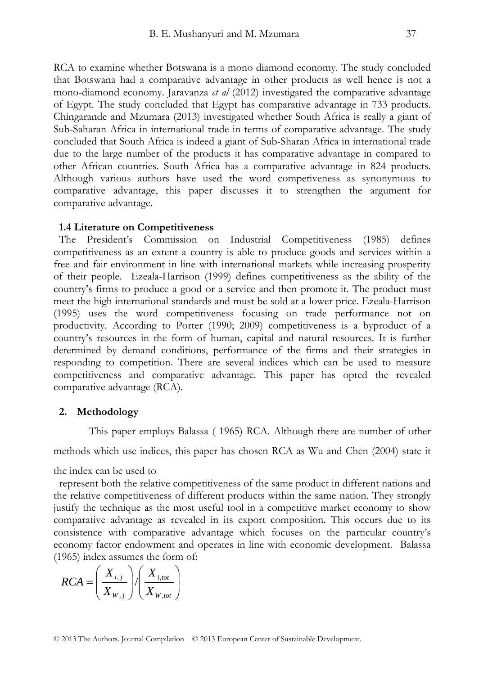RCA to examine whether Botswana is a mono diamond economy. The study concluded that Botswana had a comparative advantage in other products as well hence is not a mono-diamond economy. Jaravanza *et al* (2012) investigated the comparative advantage of Egypt. The study concluded that Egypt has comparative advantage in 733 products. Chingarande and Mzumara (2013) investigated whether South Africa is really a giant of Sub-Saharan Africa in international trade in terms of comparative advantage. The study concluded that South Africa is indeed a giant of Sub-Sharan Africa in international trade due to the large number of the products it has comparative advantage in compared to other African countries. South Africa has a comparative advantage in 824 products. Although various authors have used the word competiveness as synonymous to comparative advantage, this paper discusses it to strengthen the argument for comparative advantage.

#### **1.4 Literature on Competitiveness**

The President's Commission on Industrial Competitiveness (1985) defines competitiveness as an extent a country is able to produce goods and services within a free and fair environment in line with international markets while increasing prosperity of their people. Ezeala-Harrison (1999) defines competitiveness as the ability of the country's firms to produce a good or a service and then promote it. The product must meet the high international standards and must be sold at a lower price. Ezeala-Harrison (1995) uses the word competitiveness focusing on trade performance not on productivity. According to Porter (1990; 2009) competitiveness is a byproduct of a country's resources in the form of human, capital and natural resources. It is further determined by demand conditions, performance of the firms and their strategies in responding to competition. There are several indices which can be used to measure competitiveness and comparative advantage. This paper has opted the revealed comparative advantage (RCA).

#### **2. Methodology**

This paper employs Balassa ( 1965) RCA. Although there are number of other

methods which use indices, this paper has chosen RCA as Wu and Chen (2004) state it

the index can be used to

represent both the relative competitiveness of the same product in different nations and the relative competitiveness of different products within the same nation. They strongly justify the technique as the most useful tool in a competitive market economy to show comparative advantage as revealed in its export composition. This occurs due to its consistence with comparative advantage which focuses on the particular country's economy factor endowment and operates in line with economic development. Balassa (1965) index assumes the form of:

$$
RCA = \left(\frac{X_{i,j}}{X_{W,j}}\right) / \left(\frac{X_{i,tot}}{X_{W,tot}}\right)
$$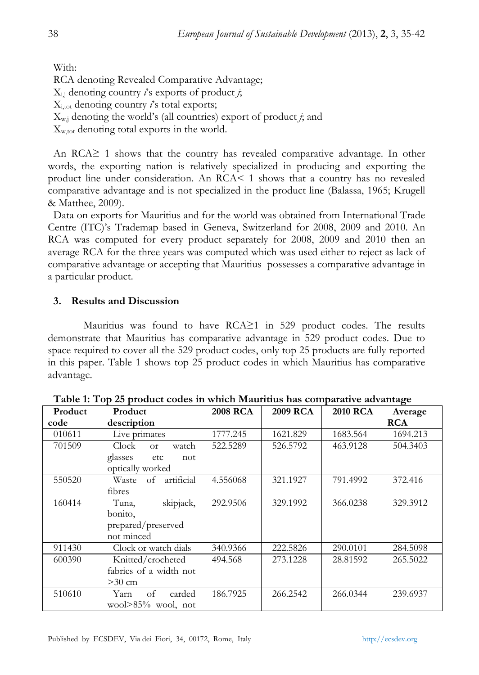With: RCA denoting Revealed Comparative Advantage;  $X_{i,j}$  denoting country *i*'s exports of product *j*; Xi,tot denoting country *i*'s total exports;  $X_{w,i}$  denoting the world's (all countries) export of product *j*; and Xw,tot denoting total exports in the world.

An RCA≥ 1 shows that the country has revealed comparative advantage. In other words, the exporting nation is relatively specialized in producing and exporting the product line under consideration. An RCA< 1 shows that a country has no revealed comparative advantage and is not specialized in the product line (Balassa, 1965; Krugell & Matthee, 2009).

Data on exports for Mauritius and for the world was obtained from International Trade Centre (ITC)'s Trademap based in Geneva, Switzerland for 2008, 2009 and 2010. An RCA was computed for every product separately for 2008, 2009 and 2010 then an average RCA for the three years was computed which was used either to reject as lack of comparative advantage or accepting that Mauritius possesses a comparative advantage in a particular product.

# **3. Results and Discussion**

Mauritius was found to have RCA≥1 in 529 product codes. The results demonstrate that Mauritius has comparative advantage in 529 product codes. Due to space required to cover all the 529 product codes, only top 25 products are fully reported in this paper. Table 1 shows top 25 product codes in which Mauritius has comparative advantage.

| Product | Product                         | <b>2008 RCA</b> | <b>2009 RCA</b> | <b>2010 RCA</b> |            |
|---------|---------------------------------|-----------------|-----------------|-----------------|------------|
|         |                                 |                 |                 |                 | Average    |
| code    | description                     |                 |                 |                 | <b>RCA</b> |
| 010611  | Live primates                   | 1777.245        | 1621.829        | 1683.564        | 1694.213   |
| 701509  | Clock<br>watch<br><sub>Or</sub> | 522.5289        | 526.5792        | 463.9128        | 504.3403   |
|         | glasses<br>etc<br>not           |                 |                 |                 |            |
|         | optically worked                |                 |                 |                 |            |
| 550520  | artificial<br>Waste<br>- of     | 4.556068        | 321.1927        | 791.4992        | 372.416    |
|         | fibres                          |                 |                 |                 |            |
| 160414  | skipjack,<br>Tuna,              | 292.9506        | 329.1992        | 366.0238        | 329.3912   |
|         | bonito.                         |                 |                 |                 |            |
|         | prepared/preserved              |                 |                 |                 |            |
|         | not minced                      |                 |                 |                 |            |
| 911430  | Clock or watch dials            | 340.9366        | 222.5826        | 290.0101        | 284.5098   |
| 600390  | Knitted/crocheted               | 494.568         | 273.1228        | 28.81592        | 265.5022   |
|         | fabrics of a width not          |                 |                 |                 |            |
|         | $>30$ cm                        |                 |                 |                 |            |
| 510610  | of<br>carded<br>Yarn            | 186.7925        | 266.2542        | 266.0344        | 239.6937   |
|         | wool $>85\%$ wool, not          |                 |                 |                 |            |

**Table 1: Top 25 product codes in which Mauritius has comparative advantage**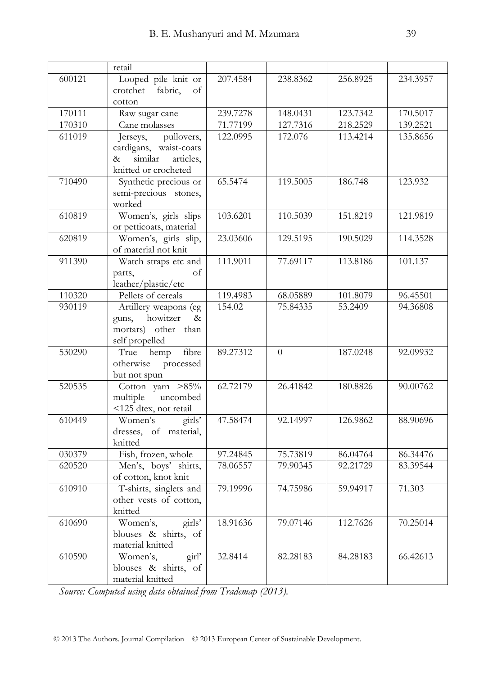|        | retail                                         |          |          |          |          |
|--------|------------------------------------------------|----------|----------|----------|----------|
| 600121 | Looped pile knit or                            | 207.4584 | 238.8362 | 256.8925 | 234.3957 |
|        | fabric,<br>crotchet<br>of                      |          |          |          |          |
|        | cotton                                         |          |          |          |          |
| 170111 | Raw sugar cane                                 | 239.7278 | 148.0431 | 123.7342 | 170.5017 |
| 170310 | Cane molasses                                  | 71.77199 | 127.7316 | 218.2529 | 139.2521 |
| 611019 | pullovers,<br>Jerseys,                         | 122.0995 | 172.076  | 113.4214 | 135.8656 |
|        | cardigans, waist-coats                         |          |          |          |          |
|        | similar<br>articles,<br>&                      |          |          |          |          |
|        | knitted or crocheted                           |          |          |          |          |
| 710490 | Synthetic precious or                          | 65.5474  | 119.5005 | 186.748  | 123.932  |
|        | semi-precious stones,                          |          |          |          |          |
|        | worked                                         |          |          |          |          |
| 610819 | Women's, girls slips                           | 103.6201 | 110.5039 | 151.8219 | 121.9819 |
|        | or petticoats, material                        |          |          |          |          |
| 620819 | Women's, girls slip,<br>of material not knit   | 23.03606 | 129.5195 | 190.5029 | 114.3528 |
| 911390 | Watch straps etc and                           | 111.9011 | 77.69117 | 113.8186 | 101.137  |
|        | of<br>parts,                                   |          |          |          |          |
|        | leather/plastic/etc                            |          |          |          |          |
| 110320 | Pellets of cereals                             | 119.4983 | 68.05889 | 101.8079 | 96.45501 |
| 930119 | Artillery weapons (eg                          | 154.02   | 75.84335 | 53.2409  | 94.36808 |
|        | howitzer<br>guns,<br>$\&$                      |          |          |          |          |
|        | mortars) other than                            |          |          |          |          |
|        | self propelled                                 |          |          |          |          |
| 530290 | hemp fibre<br>True                             | 89.27312 | $\theta$ | 187.0248 | 92.09932 |
|        | otherwise processed                            |          |          |          |          |
|        | but not spun                                   |          |          |          |          |
| 520535 | Cotton yarn >85%                               | 62.72179 | 26.41842 | 180.8826 | 90.00762 |
|        | uncombed<br>multiple                           |          |          |          |          |
|        | <125 dtex, not retail                          |          |          |          |          |
| 610449 | $\overline{\text{girls}}$<br>Women's           | 47.58474 | 92.14997 | 126.9862 | 88.90696 |
|        | dresses, of material,                          |          |          |          |          |
|        | knitted                                        |          |          |          |          |
| 030379 | Fish, frozen, whole                            | 97.24845 | 75.73819 | 86.04764 | 86.34476 |
| 620520 | Men's, boys' shirts,                           | 78.06557 | 79.90345 | 92.21729 | 83.39544 |
| 610910 | of cotton, knot knit<br>T-shirts, singlets and | 79.19996 | 74.75986 | 59.94917 | 71.303   |
|        | other vests of cotton,                         |          |          |          |          |
|        | knitted                                        |          |          |          |          |
| 610690 | girls'<br>Women's,                             | 18.91636 | 79.07146 | 112.7626 | 70.25014 |
|        | blouses & shirts, of                           |          |          |          |          |
|        | material knitted                               |          |          |          |          |
| 610590 | Women's,<br>girl'                              | 32.8414  | 82.28183 | 84.28183 | 66.42613 |
|        | blouses & shirts, of                           |          |          |          |          |
|        | material knitted                               |          |          |          |          |
|        |                                                |          |          |          |          |

*Source: Computed using data obtained from Trademap (2013).*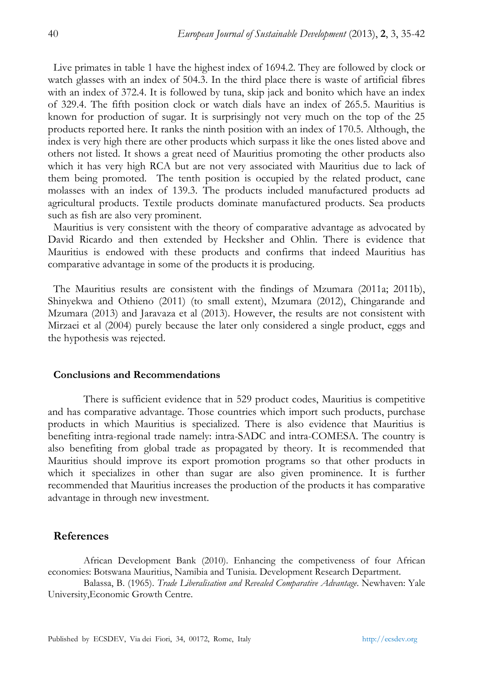Live primates in table 1 have the highest index of 1694.2. They are followed by clock or watch glasses with an index of 504.3. In the third place there is waste of artificial fibres with an index of 372.4. It is followed by tuna, skip jack and bonito which have an index of 329.4. The fifth position clock or watch dials have an index of 265.5. Mauritius is known for production of sugar. It is surprisingly not very much on the top of the 25 products reported here. It ranks the ninth position with an index of 170.5. Although, the index is very high there are other products which surpass it like the ones listed above and others not listed. It shows a great need of Mauritius promoting the other products also which it has very high RCA but are not very associated with Mauritius due to lack of them being promoted. The tenth position is occupied by the related product, cane molasses with an index of 139.3. The products included manufactured products ad agricultural products. Textile products dominate manufactured products. Sea products such as fish are also very prominent.

Mauritius is very consistent with the theory of comparative advantage as advocated by David Ricardo and then extended by Hecksher and Ohlin. There is evidence that Mauritius is endowed with these products and confirms that indeed Mauritius has comparative advantage in some of the products it is producing.

The Mauritius results are consistent with the findings of Mzumara (2011a; 2011b), Shinyekwa and Othieno (2011) (to small extent), Mzumara (2012), Chingarande and Mzumara (2013) and Jaravaza et al (2013). However, the results are not consistent with Mirzaei et al (2004) purely because the later only considered a single product, eggs and the hypothesis was rejected.

#### **Conclusions and Recommendations**

There is sufficient evidence that in 529 product codes, Mauritius is competitive and has comparative advantage. Those countries which import such products, purchase products in which Mauritius is specialized. There is also evidence that Mauritius is benefiting intra-regional trade namely: intra-SADC and intra-COMESA. The country is also benefiting from global trade as propagated by theory. It is recommended that Mauritius should improve its export promotion programs so that other products in which it specializes in other than sugar are also given prominence. It is further recommended that Mauritius increases the production of the products it has comparative advantage in through new investment.

#### **References**

African Development Bank (2010). Enhancing the competiveness of four African economies: Botswana Mauritius, Namibia and Tunisia. Development Research Department.

Balassa, B. (1965). *Trade Liberalisation and Revealed Comparative Advantage*. Newhaven: Yale University,Economic Growth Centre.